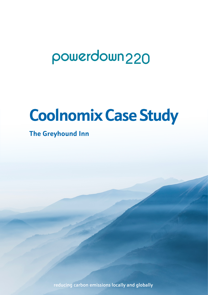# powerdown<sub>220</sub>

# **Coolnomix Case Study**

## **The Greyhound Inn**

reducing carbon emissions locally and globally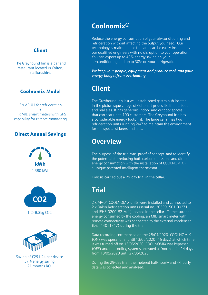### Client

The Greyhound Inn is a bar and restaurant located in Colton, Staffordshire.

### Coolnomix Model

2 x AR-01 for refrigeration + 1 x MID smart meters with GPS capability for remote monitoring

### Direct Annual Savings







Saving of £291.24 per device 57% energy saving 21 months ROI

## **Coolnomix®**

Reduce the energy consumption of your air-conditioning and refrigeration without affecting the output you need. Our technology is maintenance free and can be easily installed by our qualified engineers with no disruption to your operation. You can expect up to 40% energy saving on your air-conditioning and up to 30% on your refrigeration.

*We keep your people, equipment and produce cool, and your energy budget from overheating*

## **Client**

The Greyhound Inn is a well-established gastro pub located in the picturesque village of Colton. It prides itself in its food and real ales. It has generous indoor and outdoor spaces that can seat up to 100 customers. The Greyhound Inn has a considerable energy footprint. The large cellar has two refrigeration units running 24/7 to maintain the environment for the specialist beers and ales.

## **Overview**

The purpose of the trial was 'proof of concept' and to identify the potential for reducing both carbon emissions and direct energy consumption with the installation of COOLNOMIX a unique patented intelligent thermostat.

Emissis carried out a 29-day trial in the cellar.

## **Trial**

2 x AR-01 COOLNOMIX units were installed and connected to 2 x Dakin Refrigeration units (serial no. 205991501-00271 and JEHS-0200-B2-M-1) located in the cellar. To measure the energy consumed by the cooling, an MID smart meter with remote connectivity was connected to the external condenser (DET 14011747) during the trial.

Data recording commenced on the 28/04/2020. COOLNOMIX (ON) was operational until 13/05/2020 (15 days) at which time it was turned off on 13/05/2020. COOLNOMIX was bypassed (OFF) and the cooling systems operated as 'normal' for 14 days from 13/05/2020 until 27/05/2020.

During the 29-day trial, the metered half-hourly and 4-hourly data was collected and analysed.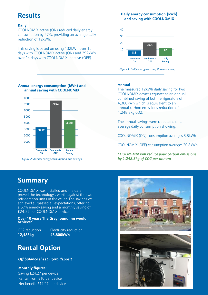## **Results**

#### **Daily**

COOLNOMIX active (ON) reduced daily energy consumption by 57%, providing an average daily reduction of 12kWh.

This saving is based on using 132kWh over 15 days with COOLNOMIX active (ON) and 292kWh over 14 days with COOLNOMIX inactive (OFF).

#### **Daily energy consumption (kWh) and saving with COOLNOMIX**



*Figure 1: Daily energy consumption and saving*

#### **Annual energy consumption (kWh) and annual saving with COOLNOMIX**



*Figure 2: Annual energy consumption and savings*

#### **Annual**

The measured 12kWh daily saving for two COOLNOMIX devices equates to an annual combined saving of both refrigerators of 4,380kWh which is equivalent to an annual carbon emissions reduction of 1,248.3kg CO2.

The annual savings were calculated on an average daily consumption showing:

COOLNOMIX (ON) consumption averages 8.8kWh

COOLNOMIX (OFF) consumption averages 20.8kWh

*COOLNOMIX will reduce your carbon emissions by 1,248.3kg of CO2 per annum*

## **Summary**

COOLNOMIX was installed and the data proved the technology's worth against the two refrigeration units in the cellar. The savings we achieved surpassed all expectations, offering a 57% energy saving and a monthly saving of £24.27 per COOLNOMIX device.

#### **Over 10 years The Greyhound Inn would achieve:**

CO2 reduction Electricity reduction **12,483kg 43,800kWh**

## **Rental Option**

#### *Off balance sheet - zero deposit*

#### **Monthly figures:**

Saving £24.27 per device Rental from £10 per device Net benefit £14.27 per device